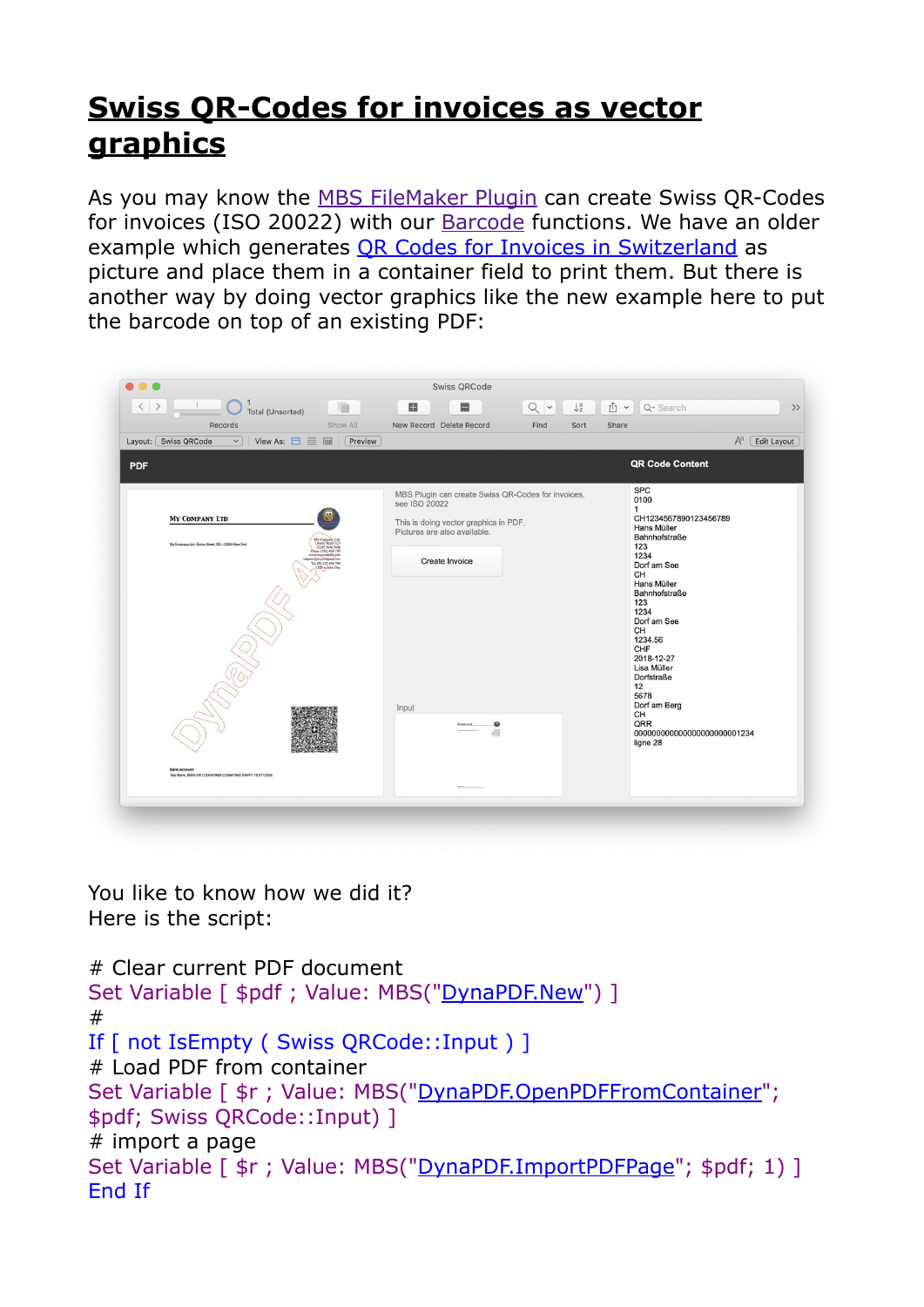## **[Swiss QR-Codes for invoices as vector](https://www.mbs-plugins.com/archive/2020-06-12/Swiss_QR-Codes_for_invoices_as)  [graphics](https://www.mbs-plugins.com/archive/2020-06-12/Swiss_QR-Codes_for_invoices_as)**

As you may know the [MBS FileMaker Plugin](https://www.monkeybreadsoftware.com/filemaker/) can create Swiss QR-Codes for invoices (ISO 20022) with our [Barcode](https://www.mbsplugins.eu/component_Barcode.shtml) functions. We have an older example which generates OR Codes for Invoices in Switzerland as picture and place them in a container field to print them. But there is another way by doing vector graphics like the new example here to put the barcode on top of an existing PDF:

| Records<br>View As: $\Box \equiv \boxplus$<br>Layout: Swiss QRCode<br>$\check{~}$                                                                                                                                                                              | Show All<br>Preview | New Record Delete Record<br>Find<br>Sort                                                                                                     | Share<br>$A^a$<br>Edit Layout                                                                                                                                                                   |
|----------------------------------------------------------------------------------------------------------------------------------------------------------------------------------------------------------------------------------------------------------------|---------------------|----------------------------------------------------------------------------------------------------------------------------------------------|-------------------------------------------------------------------------------------------------------------------------------------------------------------------------------------------------|
| <b>PDF</b>                                                                                                                                                                                                                                                     |                     |                                                                                                                                              | <b>QR Code Content</b>                                                                                                                                                                          |
| MY COMPANY LTD<br>My Company Ltd - Some Street 123 - 12345 New York<br>Some Menet 12<br>Phone (123) 456 780<br>port@mycompany.text<br>Tax ID: 423 456 789<br>CEO is John Doc<br><b>Bank account:</b><br>Test Bank, IBAN DE12345678901234567890 SWIFT TEST12345 |                     | MBS Plugin can create Swiss QR-Codes for invoices,<br>see ISO 20022<br>This is doing vector graphics in PDF.<br>Pictures are also available. | <b>SPC</b><br>0100<br>$\mathbf{1}$<br>CH1234567890123456789<br>Hans Müller<br>Bahnhofstraße<br>123                                                                                              |
|                                                                                                                                                                                                                                                                |                     | Create Invoice<br>Input                                                                                                                      | 1234<br>Dorf am See<br>CH<br>Hans Müller<br>Bahnhofstraße<br>123<br>1234<br>Dorf am See<br>CH<br>1234.56<br>CHF<br>2018-12-27<br>Lisa Müller<br><b>Dorfstraße</b><br>12<br>5678<br>Dorf am Berg |
|                                                                                                                                                                                                                                                                |                     | 嚻                                                                                                                                            | CH<br>QRR<br>000000000000000000000001234<br>ligne 28                                                                                                                                            |

You like to know how we did it? Here is the script:

```
# Clear current PDF document 
DynaPDF.New") ]
# 
If [ not IsEmpty ( Swiss QRCode::Input ) ] 
# Load PDF from container 
"DynaPDF.OpenPDFFromContainer";
$pdf; Swiss QRCode::Input) ] 
# import a page 
Set Variable [ \frac{1}{5}"DynaPDF.ImportPDFPage"; $pdf; 1) ]
End If
```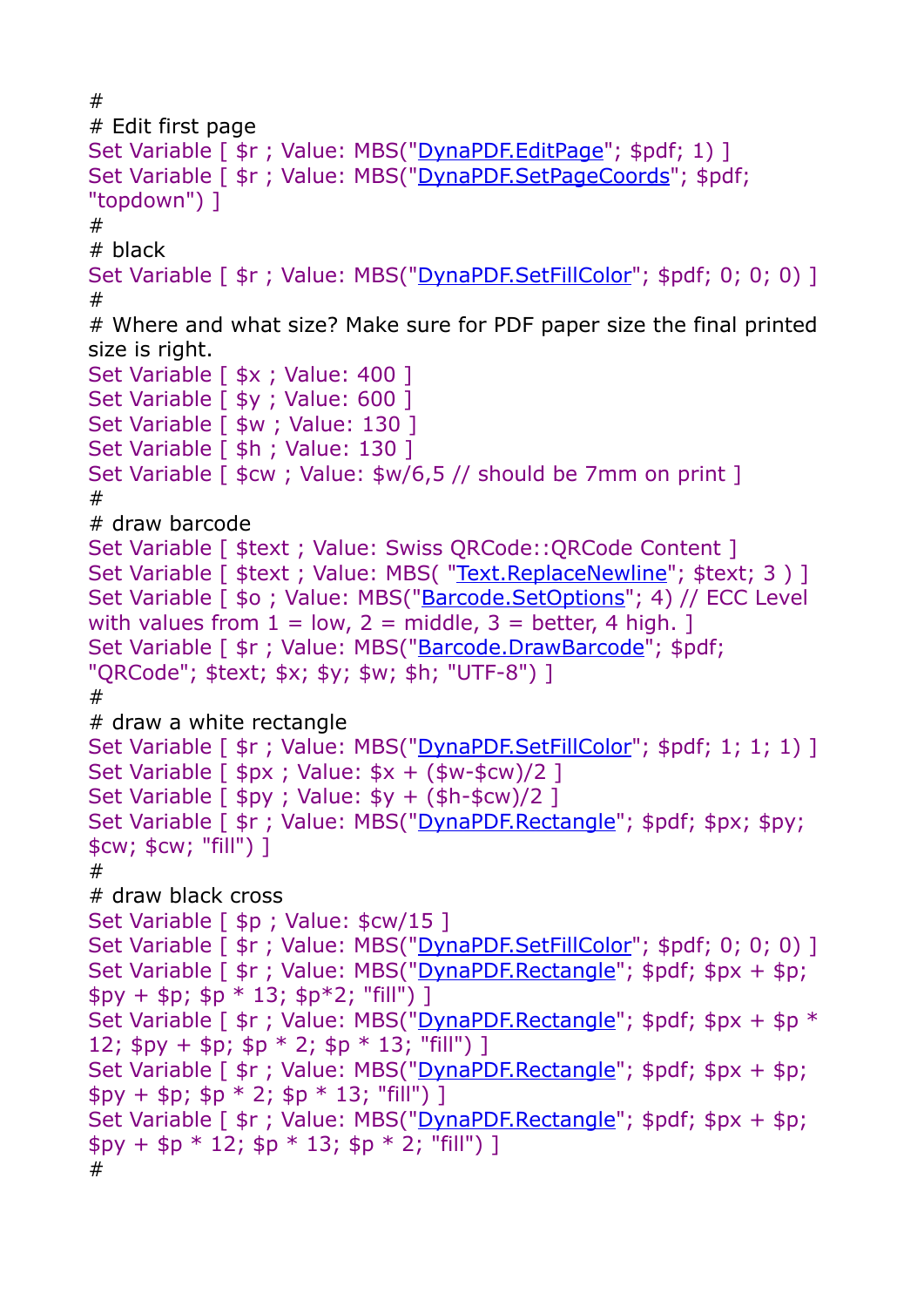```
# 
# Edit first page 
"DynaPDF.EditPage"; $pdf; 1) ]
Set Variable [ \frac{1}{2}r"DynaPDF.SetPageCoords"; $pdf;
"topdown") ] 
# 
# black 
"DynaPDF.SetFillColor"; $pdf; 0; 0; 0) ]
# 
# Where and what size? Make sure for PDF paper size the final printed 
size is right. 
Set Variable [ *x ; Value: 400 ]
Set Variable [ $y ; Value: 600 ]
Set Variable [ $w ; Value: 130 ]
Set Variable [ $h ; Value: 130 ]
Set Variable [ $cw ; Value: $w/6,5 // should be 7mm on print ]
# 
# draw barcode 
Set Variable [ $text ; Value: Swiss QRCode::QRCode Content ] 
Set Variable [ $text ; Value: MBS( "Text. Replace Newline"; $text; 3 ) ]
Barcode.SetOptions"; 4) // ECC Level
with values from 1 = \text{low}, 2 = \text{middle}, 3 = \text{better}, 4 \text{ high}.Set Variable [ $r ; Value: MBS("Barcode.DrawBarcode"; $pdf; 
"QRCode"; $text; $x; $y; $w; $h; "UTF-8") ] 
# 
# draw a white rectangle 
"DynaPDF.SetFillColor"; $pdf; 1; 1; 1) ]
Set Variable \lceil $px ; Value: $x + ($w-$cw)/2 ]
Set Variable \lceil $py ; Value: $y + ($h-$cw)/2 ]
Set Variable [ \frac{1}{2}r"DynaPDF.Rectangle"; $pdf; $px; $py;
$cw; $cw; "fill") ] 
# 
# draw black cross 
Set Variable [ $p ; Value: $cw/15 ]
"DynaPDF.SetFillColor"; $pdf; 0; 0; 0) ]
Set Variable [ \frac{2}{3}r"DynaPDF.Rectangle"; \frac{2}{3}pdf; \frac{2}{3}px + \frac{2}{3}p;
$py + $p; $p * 13; $p * 2; "fill")]
Set Variable [ \frac{1}{2}r"DynaPDF.Rectangle"; \frac{1}{2}pdf; \frac{1}{2}px + \frac{1}{2}p *12; $py + $p; $p * 2; $p * 13; "fill") ]
Set Variable [ \frac{2}{3}r"DynaPDF.Rectangle"; \frac{2}{3}pdf; \frac{2}{3}px + \frac{2}{3}p;
$py + $p; $p * 2; $p * 13; "fill")Set Variable [ \frac{1}{2}r"DynaPDF.Rectangle"; $pdf; $px + $p;
$py + $p * 12; $p * 13; $p * 2; "fill")#
```